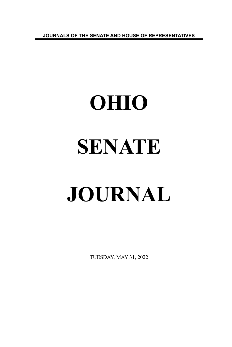**JOURNALS OF THE SENATE AND HOUSE OF REPRESENTATIVES**

# **OHIO SENATE JOURNAL**

TUESDAY, MAY 31, 2022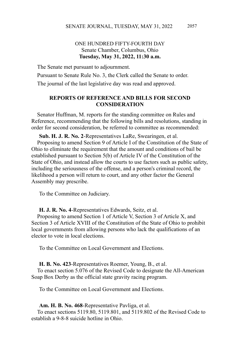# ONE HUNDRED FIFTY-FOURTH DAY Senate Chamber, Columbus, Ohio **Tuesday, May 31, 2022, 11:30 a.m.**

The Senate met pursuant to adjournment.

Pursuant to Senate Rule No. 3, the Clerk called the Senate to order.

The journal of the last legislative day was read and approved.

# **REPORTS OF REFERENCE AND BILLS FOR SECOND CONSIDERATION**

Senator Huffman, M. reports for the standing committee on Rules and Reference, recommending that the following bills and resolutions, standing in order for second consideration, be referred to committee as recommended:

**Sub. H. J. R. No. 2**-Representatives LaRe, Swearingen, et al. Proposing to amend Section 9 of Article I of the Constitution of the State of Ohio to eliminate the requirement that the amount and conditions of bail be established pursuant to Section 5(b) of Article IV of the Constitution of the State of Ohio, and instead allow the courts to use factors such as public safety, including the seriousness of the offense, and a person's criminal record, the likelihood a person will return to court, and any other factor the General Assembly may prescribe.

To the Committee on Judiciary.

#### **H. J. R. No. 4**-Representatives Edwards, Seitz, et al.

Proposing to amend Section 1 of Article V, Section 3 of Article X, and Section 3 of Article XVIII of the Constitution of the State of Ohio to prohibit local governments from allowing persons who lack the qualifications of an elector to vote in local elections.

To the Committee on Local Government and Elections.

#### **H. B. No. 423**-Representatives Roemer, Young, B., et al.

To enact section 5.076 of the Revised Code to designate the All-American Soap Box Derby as the official state gravity racing program.

To the Committee on Local Government and Elections.

**Am. H. B. No. 468**-Representative Pavliga, et al.

To enact sections 5119.80, 5119.801, and 5119.802 of the Revised Code to establish a 9-8-8 suicide hotline in Ohio.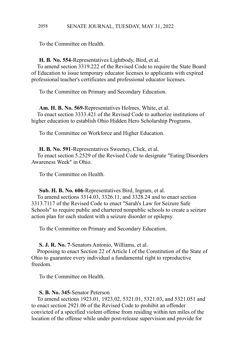#### SENATE JOURNAL, TUESDAY, MAY 31, 2022 2058

To the Committee on Health.

#### **H. B. No. 554**-Representatives Lightbody, Bird, et al.

To amend section 3319.222 of the Revised Code to require the State Board of Education to issue temporary educator licenses to applicants with expired professional teacher's certificates and professional educator licenses.

To the Committee on Primary and Secondary Education.

**Am. H. B. No. 569**-Representatives Holmes, White, et al. To enact section 3333.421 of the Revised Code to authorize institutions of higher education to establish Ohio Hidden Hero Scholarship Programs.

To the Committee on Workforce and Higher Education.

**H. B. No. 591**-Representatives Sweeney, Click, et al. To enact section 5.2529 of the Revised Code to designate "Eating Disorders Awareness Week" in Ohio.

To the Committee on Health.

**Sub. H. B. No. 606**-Representatives Bird, Ingram, et al. To amend sections 3314.03, 3326.11, and 3328.24 and to enact section 3313.7117 of the Revised Code to enact "Sarah's Law for Seizure Safe

Schools" to require public and chartered nonpublic schools to create a seizure action plan for each student with a seizure disorder or epilepsy.

To the Committee on Primary and Secondary Education.

**S. J. R. No. 7**-Senators Antonio, Williams, et al.

Proposing to enact Section 22 of Article I of the Constitution of the State of Ohio to guarantee every individual a fundamental right to reproductive freedom.

To the Committee on Health.

#### **S. B. No. 345**-Senator Peterson

To amend sections 1923.01, 1923.02, 5321.01, 5321.03, and 5321.051 and to enact section 2921.06 of the Revised Code to prohibit an offender convicted of a specified violent offense from residing within ten miles of the location of the offense while under post-release supervision and provide for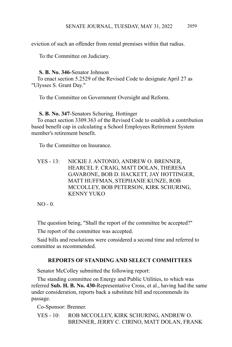eviction of such an offender from rental premises within that radius.

To the Committee on Judiciary.

#### **S. B. No. 346**-Senator Johnson

To enact section 5.2529 of the Revised Code to designate April 27 as "Ulysses S. Grant Day."

To the Committee on Government Oversight and Reform.

### **S. B. No. 347**-Senators Schuring, Hottinger

To enact section 3309.363 of the Revised Code to establish a contribution based benefit cap in calculating a School Employees Retirement System member's retirement benefit.

To the Committee on Insurance.

YES - 13: NICKIE J. ANTONIO, ANDREW O. BRENNER, HEARCEL F. CRAIG, MATT DOLAN, THERESA GAVARONE, BOB D. HACKETT, JAY HOTTINGER, MATT HUFFMAN, STEPHANIE KUNZE, ROB MCCOLLEY, BOB PETERSON, KIRK SCHURING, KENNY YUKO

NO - 0.

The question being, "Shall the report of the committee be accepted?"

The report of the committee was accepted.

Said bills and resolutions were considered a second time and referred to committee as recommended.

# **REPORTS OF STANDING AND SELECT COMMITTEES**

Senator McColley submitted the following report:

The standing committee on Energy and Public Utilities, to which was referred **Sub. H. B. No. 430-**Representative Cross, et al., having had the same under consideration, reports back a substitute bill and recommends its passage.

Co-Sponsor: Brenner.

YES - 10: ROB MCCOLLEY, KIRK SCHURING, ANDREW O. BRENNER, JERRY C. CIRINO, MATT DOLAN, FRANK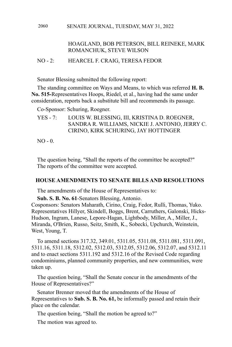#### SENATE JOURNAL, TUESDAY, MAY 31, 2022 2060

# HOAGLAND, BOB PETERSON, BILL REINEKE, MARK ROMANCHUK, STEVE WILSON

## NO - 2: HEARCEL F. CRAIG, TERESA FEDOR

Senator Blessing submitted the following report:

The standing committee on Ways and Means, to which was referred **H. B. No. 515-**Representatives Hoops, Riedel, et al., having had the same under consideration, reports back a substitute bill and recommends its passage.

Co-Sponsor: Schuring, Roegner.

YES - 7: LOUIS W. BLESSING, III, KRISTINA D. ROEGNER, SANDRA R. WILLIAMS, NICKIE J. ANTONIO, JERRY C. CIRINO, KIRK SCHURING, JAY HOTTINGER

 $NO - 0.$ 

The question being, "Shall the reports of the committee be accepted?" The reports of the committee were accepted.

#### **HOUSE AMENDMENTS TO SENATE BILLS AND RESOLUTIONS**

The amendments of the House of Representatives to:

**Sub. S. B. No. 61**-Senators Blessing, Antonio.

Cosponsors: Senators Maharath, Cirino, Craig, Fedor, Rulli, Thomas, Yuko. Representatives Hillyer, Skindell, Boggs, Brent, Carruthers, Galonski, Hicks-Hudson, Ingram, Lanese, Lepore-Hagan, Lightbody, Miller, A., Miller, J., Miranda, O'Brien, Russo, Seitz, Smith, K., Sobecki, Upchurch, Weinstein, West, Young, T.

To amend sections 317.32, 349.01, 5311.05, 5311.08, 5311.081, 5311.091, 5311.16, 5311.18, 5312.02, 5312.03, 5312.05, 5312.06, 5312.07, and 5312.11 and to enact sections 5311.192 and 5312.16 of the Revised Code regarding condominiums, planned community properties, and new communities, were taken up.

The question being, "Shall the Senate concur in the amendments of the House of Representatives?"

Senator Brenner moved that the amendments of the House of Representatives to **Sub. S. B. No. 61,** be informally passed and retain their place on the calendar.

The question being, "Shall the motion be agreed to?"

The motion was agreed to.